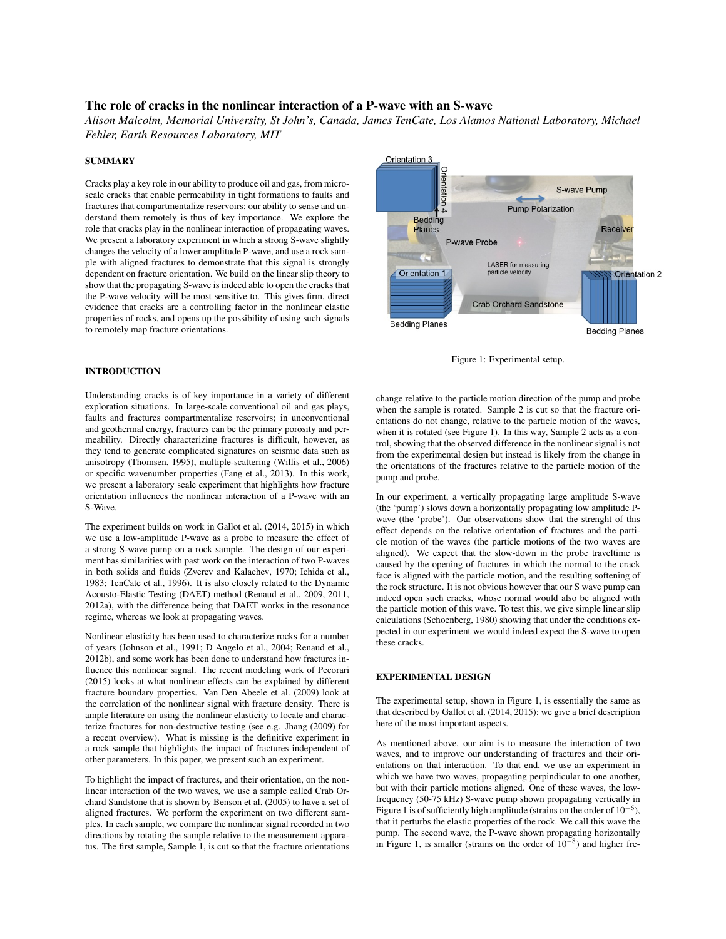# The role of cracks in the nonlinear interaction of a P-wave with an S-wave

*Alison Malcolm, Memorial University, St John's, Canada, James TenCate, Los Alamos National Laboratory, Michael Fehler, Earth Resources Laboratory, MIT*

#### **SUMMARY**

Cracks play a key role in our ability to produce oil and gas, from microscale cracks that enable permeability in tight formations to faults and fractures that compartmentalize reservoirs; our ability to sense and understand them remotely is thus of key importance. We explore the role that cracks play in the nonlinear interaction of propagating waves. We present a laboratory experiment in which a strong S-wave slightly changes the velocity of a lower amplitude P-wave, and use a rock sample with aligned fractures to demonstrate that this signal is strongly dependent on fracture orientation. We build on the linear slip theory to show that the propagating S-wave is indeed able to open the cracks that the P-wave velocity will be most sensitive to. This gives firm, direct evidence that cracks are a controlling factor in the nonlinear elastic properties of rocks, and opens up the possibility of using such signals to remotely map fracture orientations.

### INTRODUCTION

Understanding cracks is of key importance in a variety of different exploration situations. In large-scale conventional oil and gas plays, faults and fractures compartmentalize reservoirs; in unconventional and geothermal energy, fractures can be the primary porosity and permeability. Directly characterizing fractures is difficult, however, as they tend to generate complicated signatures on seismic data such as anisotropy (Thomsen, 1995), multiple-scattering (Willis et al., 2006) or specific wavenumber properties (Fang et al., 2013). In this work, we present a laboratory scale experiment that highlights how fracture orientation influences the nonlinear interaction of a P-wave with an S-Wave.

The experiment builds on work in Gallot et al. (2014, 2015) in which we use a low-amplitude P-wave as a probe to measure the effect of a strong S-wave pump on a rock sample. The design of our experiment has similarities with past work on the interaction of two P-waves in both solids and fluids (Zverev and Kalachev, 1970; Ichida et al., 1983; TenCate et al., 1996). It is also closely related to the Dynamic Acousto-Elastic Testing (DAET) method (Renaud et al., 2009, 2011, 2012a), with the difference being that DAET works in the resonance regime, whereas we look at propagating waves.

Nonlinear elasticity has been used to characterize rocks for a number of years (Johnson et al., 1991; D Angelo et al., 2004; Renaud et al., 2012b), and some work has been done to understand how fractures influence this nonlinear signal. The recent modeling work of Pecorari (2015) looks at what nonlinear effects can be explained by different fracture boundary properties. Van Den Abeele et al. (2009) look at the correlation of the nonlinear signal with fracture density. There is ample literature on using the nonlinear elasticity to locate and characterize fractures for non-destructive testing (see e.g. Jhang (2009) for a recent overview). What is missing is the definitive experiment in a rock sample that highlights the impact of fractures independent of other parameters. In this paper, we present such an experiment.

To highlight the impact of fractures, and their orientation, on the nonlinear interaction of the two waves, we use a sample called Crab Orchard Sandstone that is shown by Benson et al. (2005) to have a set of aligned fractures. We perform the experiment on two different samples. In each sample, we compare the nonlinear signal recorded in two directions by rotating the sample relative to the measurement apparatus. The first sample, Sample 1, is cut so that the fracture orientations





change relative to the particle motion direction of the pump and probe when the sample is rotated. Sample 2 is cut so that the fracture orientations do not change, relative to the particle motion of the waves, when it is rotated (see Figure 1). In this way, Sample 2 acts as a control, showing that the observed difference in the nonlinear signal is not from the experimental design but instead is likely from the change in the orientations of the fractures relative to the particle motion of the pump and probe.

In our experiment, a vertically propagating large amplitude S-wave (the 'pump') slows down a horizontally propagating low amplitude Pwave (the 'probe'). Our observations show that the strenght of this effect depends on the relative orientation of fractures and the particle motion of the waves (the particle motions of the two waves are aligned). We expect that the slow-down in the probe traveltime is caused by the opening of fractures in which the normal to the crack face is aligned with the particle motion, and the resulting softening of the rock structure. It is not obvious however that our S wave pump can indeed open such cracks, whose normal would also be aligned with the particle motion of this wave. To test this, we give simple linear slip calculations (Schoenberg, 1980) showing that under the conditions expected in our experiment we would indeed expect the S-wave to open these cracks.

#### EXPERIMENTAL DESIGN

The experimental setup, shown in Figure 1, is essentially the same as that described by Gallot et al. (2014, 2015); we give a brief description here of the most important aspects.

As mentioned above, our aim is to measure the interaction of two waves, and to improve our understanding of fractures and their orientations on that interaction. To that end, we use an experiment in which we have two waves, propagating perpindicular to one another, but with their particle motions aligned. One of these waves, the lowfrequency (50-75 kHz) S-wave pump shown propagating vertically in Figure 1 is of sufficiently high amplitude (strains on the order of  $10^{-6}$ ), that it perturbs the elastic properties of the rock. We call this wave the pump. The second wave, the P-wave shown propagating horizontally in Figure 1, is smaller (strains on the order of  $10^{-8}$ ) and higher fre-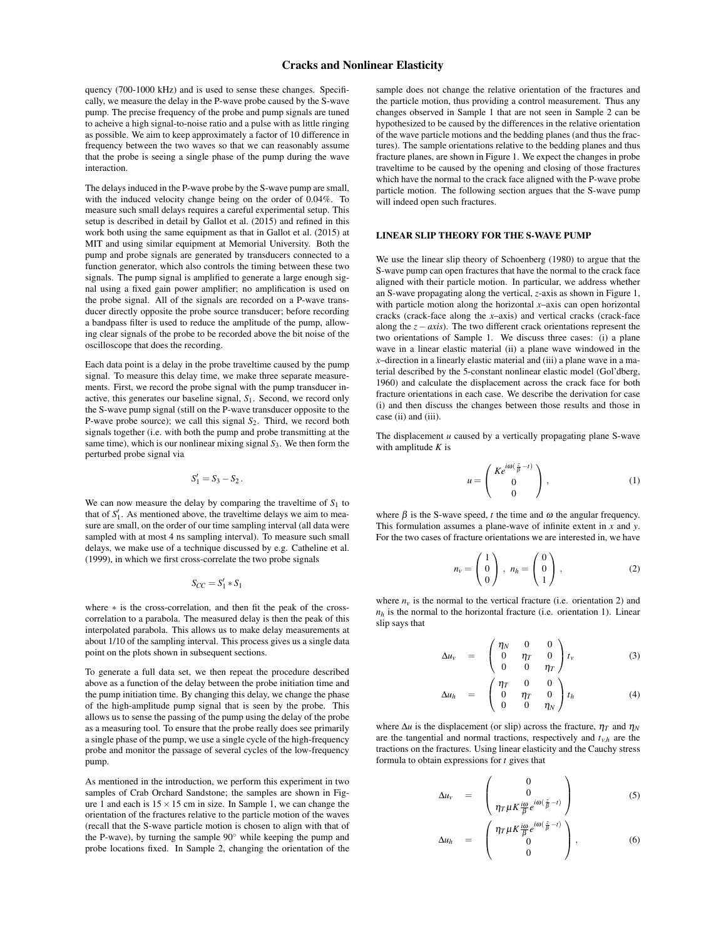# Cracks and Nonlinear Elasticity

quency (700-1000 kHz) and is used to sense these changes. Specifically, we measure the delay in the P-wave probe caused by the S-wave pump. The precise frequency of the probe and pump signals are tuned to acheive a high signal-to-noise ratio and a pulse with as little ringing as possible. We aim to keep approximately a factor of 10 difference in frequency between the two waves so that we can reasonably assume that the probe is seeing a single phase of the pump during the wave interaction.

The delays induced in the P-wave probe by the S-wave pump are small, with the induced velocity change being on the order of 0.04%. To measure such small delays requires a careful experimental setup. This setup is described in detail by Gallot et al. (2015) and refined in this work both using the same equipment as that in Gallot et al. (2015) at MIT and using similar equipment at Memorial University. Both the pump and probe signals are generated by transducers connected to a function generator, which also controls the timing between these two signals. The pump signal is amplified to generate a large enough signal using a fixed gain power amplifier; no amplification is used on the probe signal. All of the signals are recorded on a P-wave transducer directly opposite the probe source transducer; before recording a bandpass filter is used to reduce the amplitude of the pump, allowing clear signals of the probe to be recorded above the bit noise of the oscilloscope that does the recording.

Each data point is a delay in the probe traveltime caused by the pump signal. To measure this delay time, we make three separate measurements. First, we record the probe signal with the pump transducer inactive, this generates our baseline signal, *S*1. Second, we record only the S-wave pump signal (still on the P-wave transducer opposite to the P-wave probe source); we call this signal *S*2. Third, we record both signals together (i.e. with both the pump and probe transmitting at the same time), which is our nonlinear mixing signal *S*3. We then form the perturbed probe signal via

$$
S_1'=S_3-S_2.
$$

We can now measure the delay by comparing the traveltime of  $S_1$  to that of  $S_1'$ . As mentioned above, the traveltime delays we aim to measure are small, on the order of our time sampling interval (all data were sampled with at most 4 ns sampling interval). To measure such small delays, we make use of a technique discussed by e.g. Catheline et al. (1999), in which we first cross-correlate the two probe signals

$$
S_{CC} = S_1' * S_1
$$

where ∗ is the cross-correlation, and then fit the peak of the crosscorrelation to a parabola. The measured delay is then the peak of this interpolated parabola. This allows us to make delay measurements at about 1/10 of the sampling interval. This process gives us a single data point on the plots shown in subsequent sections.

To generate a full data set, we then repeat the procedure described above as a function of the delay between the probe initiation time and the pump initiation time. By changing this delay, we change the phase of the high-amplitude pump signal that is seen by the probe. This allows us to sense the passing of the pump using the delay of the probe as a measuring tool. To ensure that the probe really does see primarily a single phase of the pump, we use a single cycle of the high-frequency probe and monitor the passage of several cycles of the low-frequency pump.

As mentioned in the introduction, we perform this experiment in two samples of Crab Orchard Sandstone; the samples are shown in Figure 1 and each is  $15 \times 15$  cm in size. In Sample 1, we can change the orientation of the fractures relative to the particle motion of the waves (recall that the S-wave particle motion is chosen to align with that of the P-wave), by turning the sample 90◦ while keeping the pump and probe locations fixed. In Sample 2, changing the orientation of the

sample does not change the relative orientation of the fractures and the particle motion, thus providing a control measurement. Thus any changes observed in Sample 1 that are not seen in Sample 2 can be hypothesized to be caused by the differences in the relative orientation of the wave particle motions and the bedding planes (and thus the fractures). The sample orientations relative to the bedding planes and thus fracture planes, are shown in Figure 1. We expect the changes in probe traveltime to be caused by the opening and closing of those fractures which have the normal to the crack face aligned with the P-wave probe particle motion. The following section argues that the S-wave pump will indeed open such fractures.

### LINEAR SLIP THEORY FOR THE S-WAVE PUMP

We use the linear slip theory of Schoenberg (1980) to argue that the S-wave pump can open fractures that have the normal to the crack face aligned with their particle motion. In particular, we address whether an S-wave propagating along the vertical, *z*-axis as shown in Figure 1, with particle motion along the horizontal *x*–axis can open horizontal cracks (crack-face along the *x*–axis) and vertical cracks (crack-face along the *z*−*axis*). The two different crack orientations represent the two orientations of Sample 1. We discuss three cases: (i) a plane wave in a linear elastic material (ii) a plane wave windowed in the *x*–direction in a linearly elastic material and (iii) a plane wave in a material described by the 5-constant nonlinear elastic model (Gol'dberg, 1960) and calculate the displacement across the crack face for both fracture orientations in each case. We describe the derivation for case (i) and then discuss the changes between those results and those in case (ii) and (iii).

The displacement *u* caused by a vertically propagating plane S-wave with amplitude *K* is

$$
u = \begin{pmatrix} Ke^{i\omega(\frac{z}{\beta}-t)} \\ 0 \\ 0 \end{pmatrix}, \tag{1}
$$

where  $\beta$  is the S-wave speed, *t* the time and  $\omega$  the angular frequency. This formulation assumes a plane-wave of infinite extent in *x* and *y*. For the two cases of fracture orientations we are interested in, we have

$$
n_{\nu} = \begin{pmatrix} 1 \\ 0 \\ 0 \end{pmatrix}, \; n_{h} = \begin{pmatrix} 0 \\ 0 \\ 1 \end{pmatrix}, \tag{2}
$$

where  $n<sub>v</sub>$  is the normal to the vertical fracture (i.e. orientation 2) and  $n_h$  is the normal to the horizontal fracture (i.e. orientation 1). Linear slip says that

$$
\Delta u_{\nu} = \begin{pmatrix} \eta_N & 0 & 0 \\ 0 & \eta_T & 0 \\ 0 & 0 & \eta_T \end{pmatrix} t_{\nu} \tag{3}
$$

$$
\Delta u_h = \begin{pmatrix} \eta_T & 0 & 0 \\ 0 & \eta_T & 0 \\ 0 & 0 & \eta_N \end{pmatrix} t_h \tag{4}
$$

where  $\Delta u$  is the displacement (or slip) across the fracture,  $\eta_T$  and  $\eta_N$ are the tangential and normal tractions, respectively and  $t_{v,h}$  are the tractions on the fractures. Using linear elasticity and the Cauchy stress formula to obtain expressions for *t* gives that

$$
\Delta u_{\nu} = \begin{pmatrix} 0 \\ 0 \\ \eta_{T} \mu K \frac{i\omega}{\beta} e^{i\omega(\frac{z}{\beta} - t)} \end{pmatrix}
$$
 (5)

$$
\Delta u_h = \begin{pmatrix} \eta_T \mu K \frac{i\omega}{\beta} e^{i\omega(\frac{z}{\beta} - t)} \\ 0 \\ 0 \end{pmatrix}, \qquad (6)
$$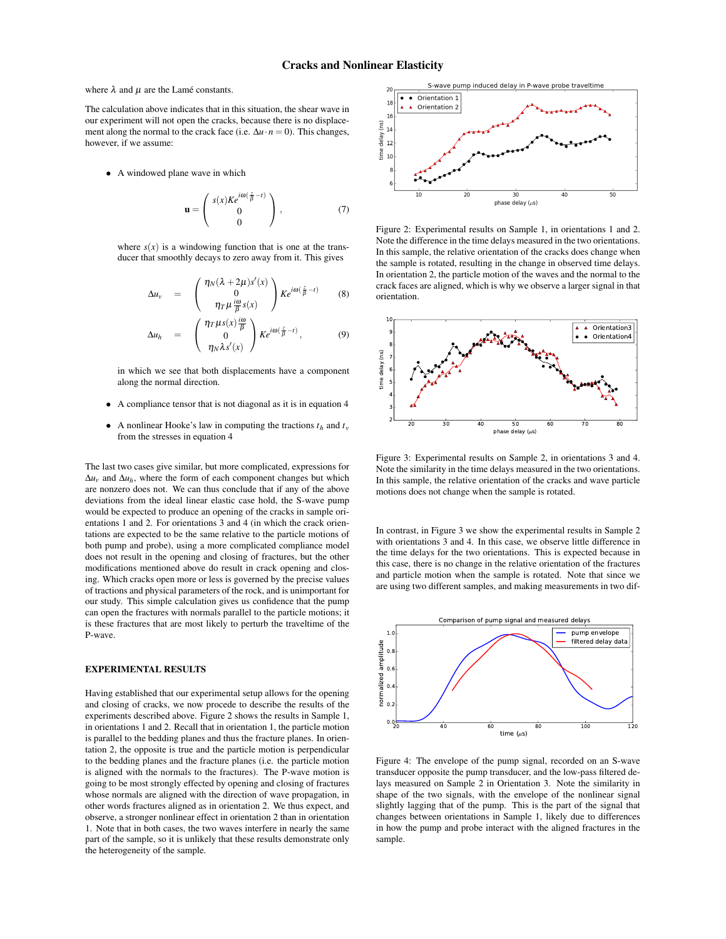where  $\lambda$  and  $\mu$  are the Lamé constants.

The calculation above indicates that in this situation, the shear wave in our experiment will not open the cracks, because there is no displacement along the normal to the crack face (i.e.  $\Delta u \cdot n = 0$ ). This changes, however, if we assume:

• A windowed plane wave in which

$$
\mathbf{u} = \begin{pmatrix} s(x)Ke^{i\omega(\frac{z}{\beta}-t)} \\ 0 \\ 0 \end{pmatrix}, \tag{7}
$$

where  $s(x)$  is a windowing function that is one at the transducer that smoothly decays to zero away from it. This gives

$$
\Delta u_{v} = \begin{pmatrix} \eta_{N}(\lambda + 2\mu)s'(x) \\ 0 \\ \eta_{T}\mu \frac{i\omega}{\beta}s(x) \end{pmatrix} Ke^{i\omega(\frac{z}{\beta} - t)} \qquad (8)
$$

$$
\Delta u_h = \begin{pmatrix} \eta_T \mu_S(x) \frac{i\omega}{\beta} \\ 0 \\ \eta_N \lambda s'(x) \end{pmatrix} K e^{i\omega(\frac{z}{\beta} - t)}, \qquad (9)
$$

in which we see that both displacements have a component along the normal direction.

- A compliance tensor that is not diagonal as it is in equation 4
- A nonlinear Hooke's law in computing the tractions  $t_h$  and  $t_v$ from the stresses in equation 4

The last two cases give similar, but more complicated, expressions for  $\Delta u$ <sup>*v*</sup> and  $\Delta u$ <sup>*h*</sup>, where the form of each component changes but which are nonzero does not. We can thus conclude that if any of the above deviations from the ideal linear elastic case hold, the S-wave pump would be expected to produce an opening of the cracks in sample orientations 1 and 2. For orientations 3 and 4 (in which the crack orientations are expected to be the same relative to the particle motions of both pump and probe), using a more complicated compliance model does not result in the opening and closing of fractures, but the other modifications mentioned above do result in crack opening and closing. Which cracks open more or less is governed by the precise values of tractions and physical parameters of the rock, and is unimportant for our study. This simple calculation gives us confidence that the pump can open the fractures with normals parallel to the particle motions; it is these fractures that are most likely to perturb the traveltime of the P-wave.

#### EXPERIMENTAL RESULTS

Having established that our experimental setup allows for the opening and closing of cracks, we now procede to describe the results of the experiments described above. Figure 2 shows the results in Sample 1, in orientations 1 and 2. Recall that in orientation 1, the particle motion is parallel to the bedding planes and thus the fracture planes. In orientation 2, the opposite is true and the particle motion is perpendicular to the bedding planes and the fracture planes (i.e. the particle motion is aligned with the normals to the fractures). The P-wave motion is going to be most strongly effected by opening and closing of fractures whose normals are aligned with the direction of wave propagation, in other words fractures aligned as in orientation 2. We thus expect, and observe, a stronger nonlinear effect in orientation 2 than in orientation 1. Note that in both cases, the two waves interfere in nearly the same part of the sample, so it is unlikely that these results demonstrate only the heterogeneity of the sample.



Figure 2: Experimental results on Sample 1, in orientations 1 and 2. Note the difference in the time delays measured in the two orientations. In this sample, the relative orientation of the cracks does change when the sample is rotated, resulting in the change in observed time delays. In orientation 2, the particle motion of the waves and the normal to the crack faces are aligned, which is why we observe a larger signal in that orientation.



Figure 3: Experimental results on Sample 2, in orientations 3 and 4. Note the similarity in the time delays measured in the two orientations. In this sample, the relative orientation of the cracks and wave particle motions does not change when the sample is rotated.

In contrast, in Figure 3 we show the experimental results in Sample 2 with orientations 3 and 4. In this case, we observe little difference in the time delays for the two orientations. This is expected because in this case, there is no change in the relative orientation of the fractures and particle motion when the sample is rotated. Note that since we are using two different samples, and making measurements in two dif-



Figure 4: The envelope of the pump signal, recorded on an S-wave transducer opposite the pump transducer, and the low-pass filtered delays measured on Sample 2 in Orientation 3. Note the similarity in shape of the two signals, with the envelope of the nonlinear signal slightly lagging that of the pump. This is the part of the signal that changes between orientations in Sample 1, likely due to differences in how the pump and probe interact with the aligned fractures in the sample.